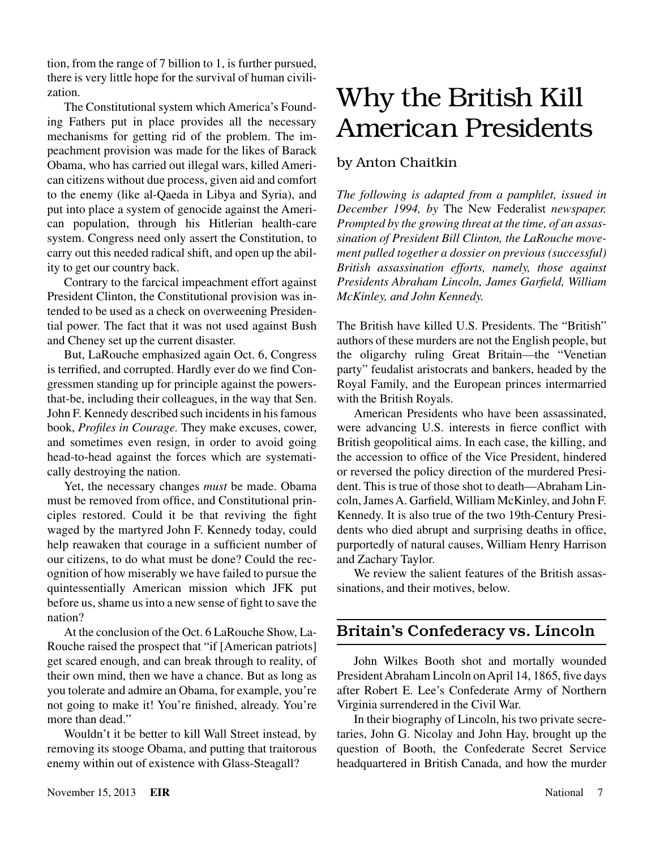# Why the British Kill American Presidents

## by Anton Chaitkin

*The following is adapted from a pamphlet, issued in December 1994, by* The New Federalist *newspaper. Prompted by the growing threat at the time, of an assassination of President Bill Clinton, the LaRouche movement pulled together a dossier on previous (successful) British assassination efforts, namely, those against Presidents Abraham Lincoln, James Garfield, William McKinley, and John Kennedy.*

The British have killed U.S. Presidents. The "British" authors of these murders are not the English people, but the oligarchy ruling Great Britain—the "Venetian party" feudalist aristocrats and bankers, headed by the Royal Family, and the European princes intermarried with the British Royals.

American Presidents who have been assassinated, were advancing U.S. interests in fierce conflict with British geopolitical aims. In each case, the killing, and the accession to office of the Vice President, hindered or reversed the policy direction of the murdered President. This is true of those shot to death—Abraham Lincoln, James A. Garfield, William McKinley, and John F. Kennedy. It is also true of the two 19th-Century Presidents who died abrupt and surprising deaths in office, purportedly of natural causes, William Henry Harrison and Zachary Taylor.

We review the salient features of the British assassinations, and their motives, below.

# Britain's Confederacy vs. Lincoln

John Wilkes Booth shot and mortally wounded President Abraham Lincoln on April 14, 1865, five days after Robert E. Lee's Confederate Army of Northern Virginia surrendered in the Civil War.

In their biography of Lincoln, his two private secretaries, John G. Nicolay and John Hay, brought up the question of Booth, the Confederate Secret Service headquartered in British Canada, and how the murder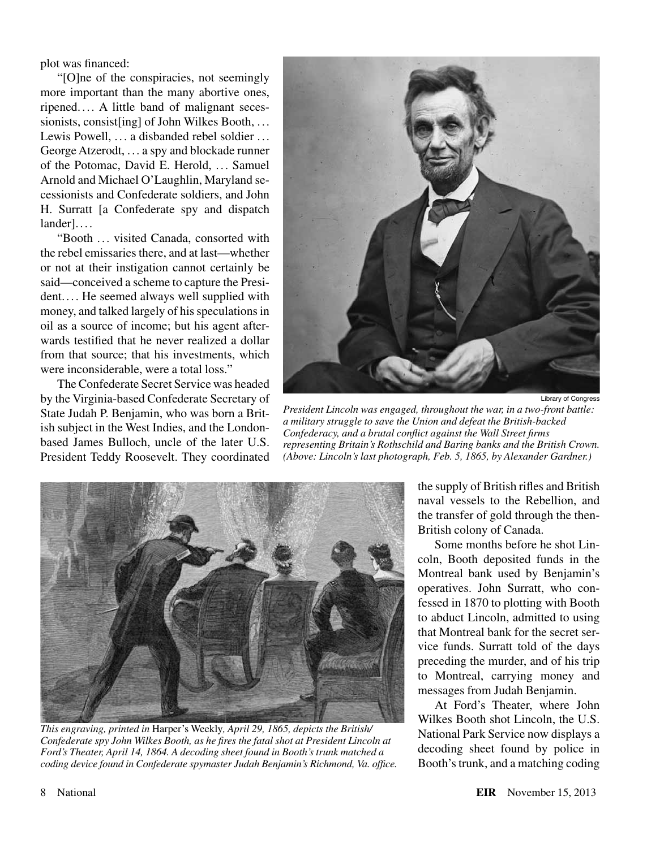plot was financed:

"[O]ne of the conspiracies, not seemingly more important than the many abortive ones, ripened. . . . A little band of malignant secessionists, consist [ing] of John Wilkes Booth, ... Lewis Powell, ... a disbanded rebel soldier ... George Atzerodt, . . . a spy and blockade runner of the Potomac, David E. Herold, .. . Samuel Arnold and Michael O'Laughlin, Maryland secessionists and Confederate soldiers, and John H. Surratt [a Confederate spy and dispatch lander]....

"Booth .. . visited Canada, consorted with the rebel emissaries there, and at last—whether or not at their instigation cannot certainly be said—conceived a scheme to capture the President. ... He seemed always well supplied with money, and talked largely of his speculations in oil as a source of income; but his agent afterwards testified that he never realized a dollar from that source; that his investments, which were inconsiderable, were a total loss."

The Confederate Secret Service was headed by the Virginia-based Confederate Secretary of State Judah P. Benjamin, who was born a British subject in the West Indies, and the Londonbased James Bulloch, uncle of the later U.S. President Teddy Roosevelt. They coordinated



*President Lincoln was engaged, throughout the war, in a two-front battle: a military struggle to save the Union and defeat the British-backed Confederacy, and a brutal conflict against the Wall Street firms representing Britain's Rothschild and Baring banks and the British Crown. (Above: Lincoln's last photograph, Feb. 5, 1865, by Alexander Gardner.)*



*This engraving, printed in* Harper's Weekly*, April 29, 1865, depicts the British/ Confederate spy John Wilkes Booth, as he fires the fatal shot at President Lincoln at Ford's Theater, April 14, 1864. A decoding sheet found in Booth's trunk matched a coding device found in Confederate spymaster Judah Benjamin's Richmond, Va. office.*

the supply of British rifles and British naval vessels to the Rebellion, and the transfer of gold through the then-British colony of Canada.

Some months before he shot Lincoln, Booth deposited funds in the Montreal bank used by Benjamin's operatives. John Surratt, who confessed in 1870 to plotting with Booth to abduct Lincoln, admitted to using that Montreal bank for the secret service funds. Surratt told of the days preceding the murder, and of his trip to Montreal, carrying money and messages from Judah Benjamin.

At Ford's Theater, where John Wilkes Booth shot Lincoln, the U.S. National Park Service now displays a decoding sheet found by police in Booth's trunk, and a matching coding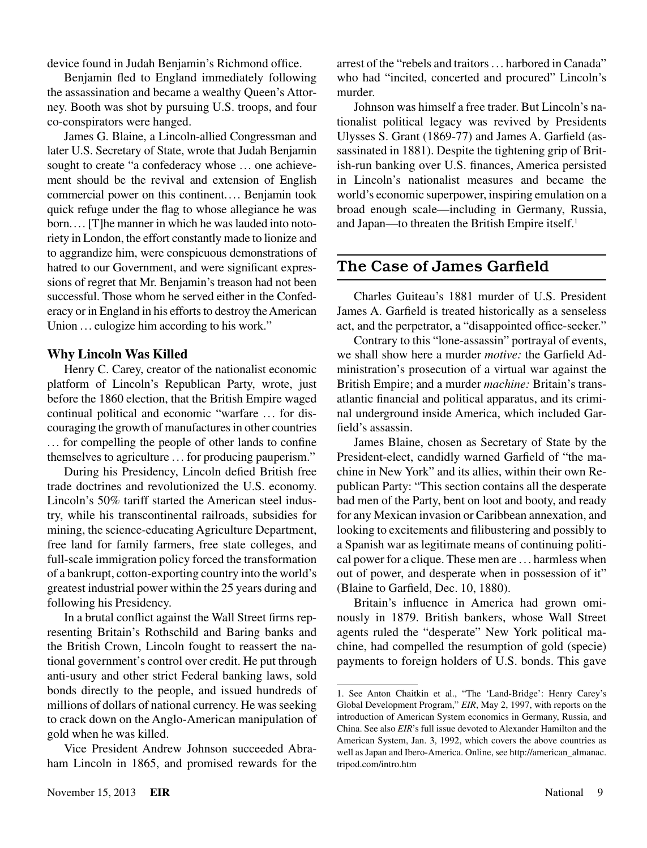device found in Judah Benjamin's Richmond office.

Benjamin fled to England immediately following the assassination and became a wealthy Queen's Attorney. Booth was shot by pursuing U.S. troops, and four co-conspirators were hanged.

James G. Blaine, a Lincoln-allied Congressman and later U.S. Secretary of State, wrote that Judah Benjamin sought to create "a confederacy whose ... one achievement should be the revival and extension of English commercial power on this continent.... Benjamin took quick refuge under the flag to whose allegiance he was born.... [T]he manner in which he was lauded into notoriety in London, the effort constantly made to lionize and to aggrandize him, were conspicuous demonstrations of hatred to our Government, and were significant expressions of regret that Mr. Benjamin's treason had not been successful. Those whom he served either in the Confederacy or in England in his efforts to destroy the American Union ... eulogize him according to his work."

#### **Why Lincoln Was Killed**

Henry C. Carey, creator of the nationalist economic platform of Lincoln's Republican Party, wrote, just before the 1860 election, that the British Empire waged continual political and economic "warfare ... for discouraging the growth of manufactures in other countries ... for compelling the people of other lands to confine themselves to agriculture ... for producing pauperism."

During his Presidency, Lincoln defied British free trade doctrines and revolutionized the U.S. economy. Lincoln's 50% tariff started the American steel industry, while his transcontinental railroads, subsidies for mining, the science-educating Agriculture Department, free land for family farmers, free state colleges, and full-scale immigration policy forced the transformation of a bankrupt, cotton-exporting country into the world's greatest industrial power within the 25 years during and following his Presidency.

In a brutal conflict against the Wall Street firms representing Britain's Rothschild and Baring banks and the British Crown, Lincoln fought to reassert the national government's control over credit. He put through anti-usury and other strict Federal banking laws, sold bonds directly to the people, and issued hundreds of millions of dollars of national currency. He was seeking to crack down on the Anglo-American manipulation of gold when he was killed.

Vice President Andrew Johnson succeeded Abraham Lincoln in 1865, and promised rewards for the

Johnson was himself a free trader. But Lincoln's nationalist political legacy was revived by Presidents Ulysses S. Grant (1869-77) and James A. Garfield (assassinated in 1881). Despite the tightening grip of British-run banking over U.S. finances, America persisted in Lincoln's nationalist measures and became the world's economic superpower, inspiring emulation on a broad enough scale—including in Germany, Russia, and Japan—to threaten the British Empire itself.1

## The Case of James Garfield

Charles Guiteau's 1881 murder of U.S. President James A. Garfield is treated historically as a senseless act, and the perpetrator, a "disappointed office-seeker."

Contrary to this "lone-assassin" portrayal of events, we shall show here a murder *motive:* the Garfield Administration's prosecution of a virtual war against the British Empire; and a murder *machine:* Britain's transatlantic financial and political apparatus, and its criminal underground inside America, which included Garfield's assassin.

James Blaine, chosen as Secretary of State by the President-elect, candidly warned Garfield of "the machine in New York" and its allies, within their own Republican Party: "This section contains all the desperate bad men of the Party, bent on loot and booty, and ready for any Mexican invasion or Caribbean annexation, and looking to excitements and filibustering and possibly to a Spanish war as legitimate means of continuing political power for a clique. These men are . . . harmless when out of power, and desperate when in possession of it" (Blaine to Garfield, Dec. 10, 1880).

Britain's influence in America had grown ominously in 1879. British bankers, whose Wall Street agents ruled the "desperate" New York political machine, had compelled the resumption of gold (specie) payments to foreign holders of U.S. bonds. This gave

<sup>1.</sup> See Anton Chaitkin et al., "The 'Land-Bridge': Henry Carey's Global Development Program," *EIR*, May 2, 1997, with reports on the introduction of American System economics in Germany, Russia, and China. See also *EIR*'s full issue devoted to Alexander Hamilton and the American System, Jan. 3, 1992, which covers the above countries as well as Japan and Ibero-America. Online, see http://american\_almanac. tripod.com/intro.htm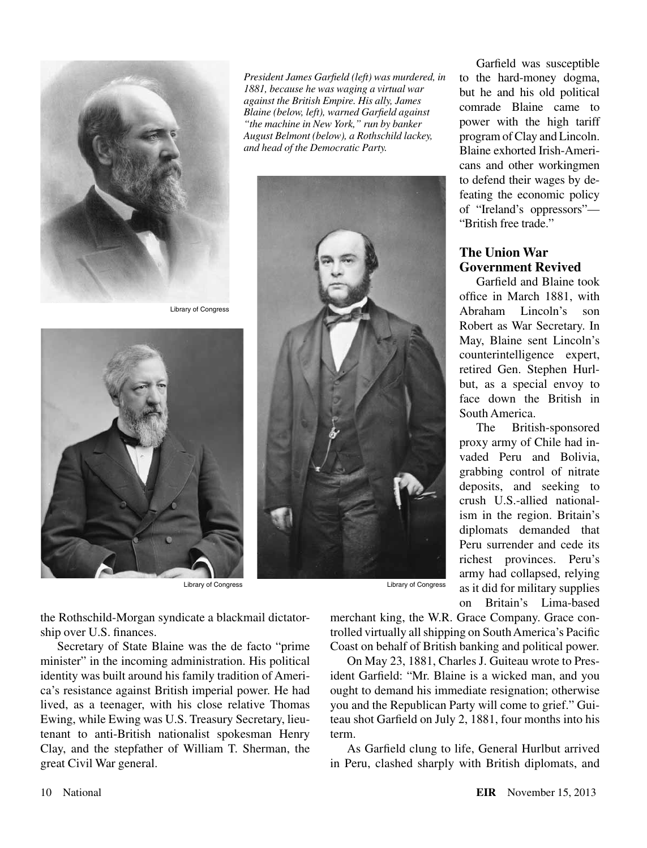

Library of Congress



the Rothschild-Morgan syndicate a blackmail dictatorship over U.S. finances.

Secretary of State Blaine was the de facto "prime minister" in the incoming administration. His political identity was built around his family tradition of America's resistance against British imperial power. He had lived, as a teenager, with his close relative Thomas Ewing, while Ewing was U.S. Treasury Secretary, lieutenant to anti-British nationalist spokesman Henry Clay, and the stepfather of William T. Sherman, the great Civil War general.

*President James Garfield (left) was murdered, in 1881, because he was waging a virtual war against the British Empire. His ally, James Blaine (below, left), warned Garfield against "the machine in New York," run by banker August Belmont (below), a Rothschild lackey, and head of the Democratic Party.* 



Garfield was susceptible to the hard-money dogma, but he and his old political comrade Blaine came to power with the high tariff program of Clay and Lincoln. Blaine exhorted Irish-Americans and other workingmen to defend their wages by defeating the economic policy of "Ireland's oppressors"— "British free trade."

## **The Union War Government Revived**

Garfield and Blaine took office in March 1881, with Abraham Lincoln's son Robert as War Secretary. In May, Blaine sent Lincoln's counterintelligence expert, retired Gen. Stephen Hurlbut, as a special envoy to face down the British in South America.

The British-sponsored proxy army of Chile had invaded Peru and Bolivia, grabbing control of nitrate deposits, and seeking to crush U.S.-allied nationalism in the region. Britain's diplomats demanded that Peru surrender and cede its richest provinces. Peru's army had collapsed, relying as it did for military supplies on Britain's Lima-based

merchant king, the W.R. Grace Company. Grace controlled virtually all shipping on South America's Pacific Coast on behalf of British banking and political power.

On May 23, 1881, Charles J. Guiteau wrote to President Garfield: "Mr. Blaine is a wicked man, and you ought to demand his immediate resignation; otherwise you and the Republican Party will come to grief." Guiteau shot Garfield on July 2, 1881, four months into his term.

As Garfield clung to life, General Hurlbut arrived in Peru, clashed sharply with British diplomats, and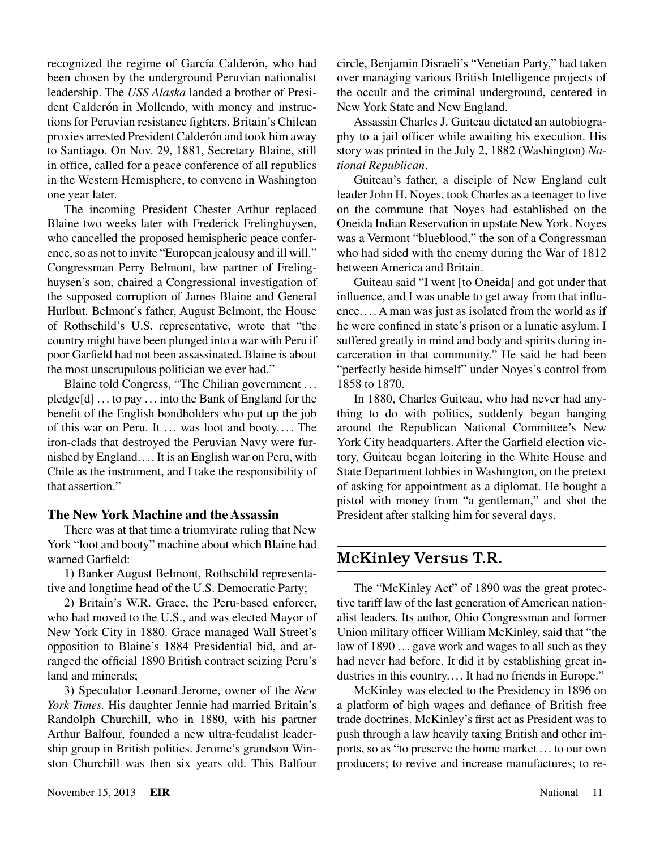recognized the regime of García Calderón, who had been chosen by the underground Peruvian nationalist leadership. The *USS Alaska* landed a brother of President Calderón in Mollendo, with money and instructions for Peruvian resistance fighters. Britain's Chilean proxies arrested President Calderón and took him away to Santiago. On Nov. 29, 1881, Secretary Blaine, still in office, called for a peace conference of all republics in the Western Hemisphere, to convene in Washington one year later.

The incoming President Chester Arthur replaced Blaine two weeks later with Frederick Frelinghuysen, who cancelled the proposed hemispheric peace conference, so as not to invite "European jealousy and ill will." Congressman Perry Belmont, law partner of Frelinghuysen's son, chaired a Congressional investigation of the supposed corruption of James Blaine and General Hurlbut. Belmont's father, August Belmont, the House of Rothschild's U.S. representative, wrote that "the country might have been plunged into a war with Peru if poor Garfield had not been assassinated. Blaine is about the most unscrupulous politician we ever had."

Blaine told Congress, "The Chilian government ... pledge[d] . .. to pay . .. into the Bank of England for the benefit of the English bondholders who put up the job of this war on Peru. It ... was loot and booty.... The iron-clads that destroyed the Peruvian Navy were furnished by England.... It is an English war on Peru, with Chile as the instrument, and I take the responsibility of that assertion."

#### **The New York Machine and the Assassin**

There was at that time a triumvirate ruling that New York "loot and booty" machine about which Blaine had warned Garfield:

1) Banker August Belmont, Rothschild representative and longtime head of the U.S. Democratic Party;

2) Britain's W.R. Grace, the Peru-based enforcer, who had moved to the U.S., and was elected Mayor of New York City in 1880. Grace managed Wall Street's opposition to Blaine's 1884 Presidential bid, and arranged the official 1890 British contract seizing Peru's land and minerals;

3) Speculator Leonard Jerome, owner of the *New York Times.* His daughter Jennie had married Britain's Randolph Churchill, who in 1880, with his partner Arthur Balfour, founded a new ultra-feudalist leadership group in British politics. Jerome's grandson Winston Churchill was then six years old. This Balfour

circle, Benjamin Disraeli's "Venetian Party," had taken over managing various British Intelligence projects of the occult and the criminal underground, centered in New York State and New England.

Assassin Charles J. Guiteau dictated an autobiography to a jail officer while awaiting his execution. His story was printed in the July 2, 1882 (Washington) *National Republican*.

Guiteau's father, a disciple of New England cult leader John H. Noyes, took Charles as a teenager to live on the commune that Noyes had established on the Oneida Indian Reservation in upstate New York. Noyes was a Vermont "blueblood," the son of a Congressman who had sided with the enemy during the War of 1812 between America and Britain.

Guiteau said "I went [to Oneida] and got under that influence, and I was unable to get away from that influence. ... A man was just as isolated from the world as if he were confined in state's prison or a lunatic asylum. I suffered greatly in mind and body and spirits during incarceration in that community." He said he had been "perfectly beside himself" under Noyes's control from 1858 to 1870.

In 1880, Charles Guiteau, who had never had anything to do with politics, suddenly began hanging around the Republican National Committee's New York City headquarters. After the Garfield election victory, Guiteau began loitering in the White House and State Department lobbies in Washington, on the pretext of asking for appointment as a diplomat. He bought a pistol with money from "a gentleman," and shot the President after stalking him for several days.

# McKinley Versus T.R.

The "McKinley Act" of 1890 was the great protective tariff law of the last generation of American nationalist leaders. Its author, Ohio Congressman and former Union military officer William McKinley, said that "the law of 1890 ... gave work and wages to all such as they had never had before. It did it by establishing great industries in this country.... It had no friends in Europe."

McKinley was elected to the Presidency in 1896 on a platform of high wages and defiance of British free trade doctrines. McKinley's first act as President was to push through a law heavily taxing British and other imports, so as "to preserve the home market ... to our own producers; to revive and increase manufactures; to re-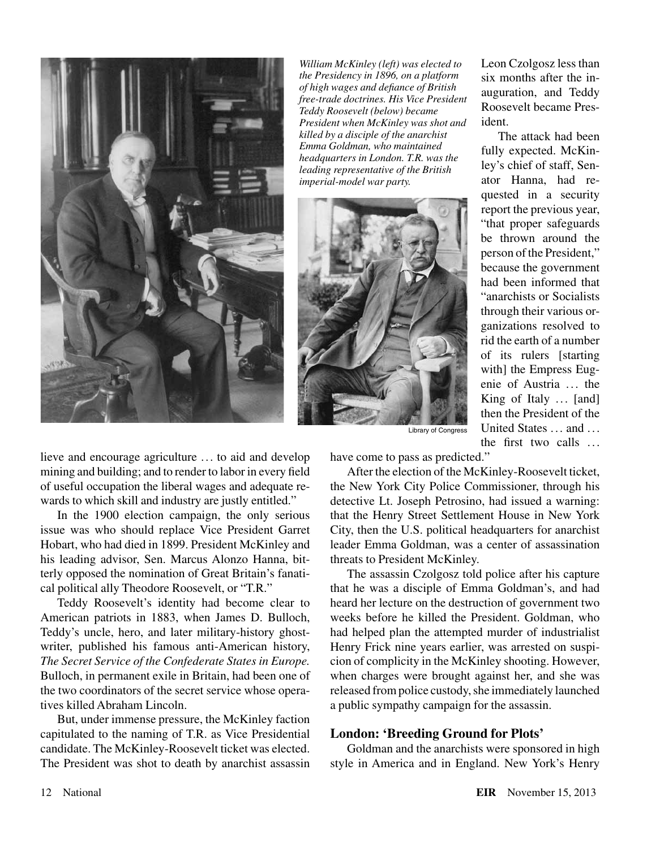

*William McKinley (left) was elected to the Presidency in 1896, on a platform of high wages and defiance of British free-trade doctrines. His Vice President Teddy Roosevelt (below) became President when McKinley was shot and killed by a disciple of the anarchist Emma Goldman, who maintained headquarters in London. T.R. was the leading representative of the British imperial-model war party.*



Leon Czolgosz less than six months after the inauguration, and Teddy Roosevelt became President.

The attack had been fully expected. McKinley's chief of staff, Senator Hanna, had requested in a security report the previous year, "that proper safeguards be thrown around the person of the President," because the government had been informed that "anarchists or Socialists through their various organizations resolved to rid the earth of a number of its rulers [starting with] the Empress Eugenie of Austria ... the King of Italy ... [and] then the President of the United States ... and ... the first two calls ...

Library of Congress

lieve and encourage agriculture ... to aid and develop mining and building; and to render to labor in every field of useful occupation the liberal wages and adequate rewards to which skill and industry are justly entitled."

In the 1900 election campaign, the only serious issue was who should replace Vice President Garret Hobart, who had died in 1899. President McKinley and his leading advisor, Sen. Marcus Alonzo Hanna, bitterly opposed the nomination of Great Britain's fanatical political ally Theodore Roosevelt, or "T.R."

Teddy Roosevelt's identity had become clear to American patriots in 1883, when James D. Bulloch, Teddy's uncle, hero, and later military-history ghostwriter, published his famous anti-American history, *The Secret Service of the Confederate States in Europe.* Bulloch, in permanent exile in Britain, had been one of the two coordinators of the secret service whose operatives killed Abraham Lincoln.

But, under immense pressure, the McKinley faction capitulated to the naming of T.R. as Vice Presidential candidate. The McKinley-Roosevelt ticket was elected. The President was shot to death by anarchist assassin

have come to pass as predicted."

After the election of the McKinley-Roosevelt ticket, the New York City Police Commissioner, through his detective Lt. Joseph Petrosino, had issued a warning: that the Henry Street Settlement House in New York City, then the U.S. political headquarters for anarchist leader Emma Goldman, was a center of assassination threats to President McKinley.

The assassin Czolgosz told police after his capture that he was a disciple of Emma Goldman's, and had heard her lecture on the destruction of government two weeks before he killed the President. Goldman, who had helped plan the attempted murder of industrialist Henry Frick nine years earlier, was arrested on suspicion of complicity in the McKinley shooting. However, when charges were brought against her, and she was released from police custody, she immediately launched a public sympathy campaign for the assassin.

#### **London: 'Breeding Ground for Plots'**

Goldman and the anarchists were sponsored in high style in America and in England. New York's Henry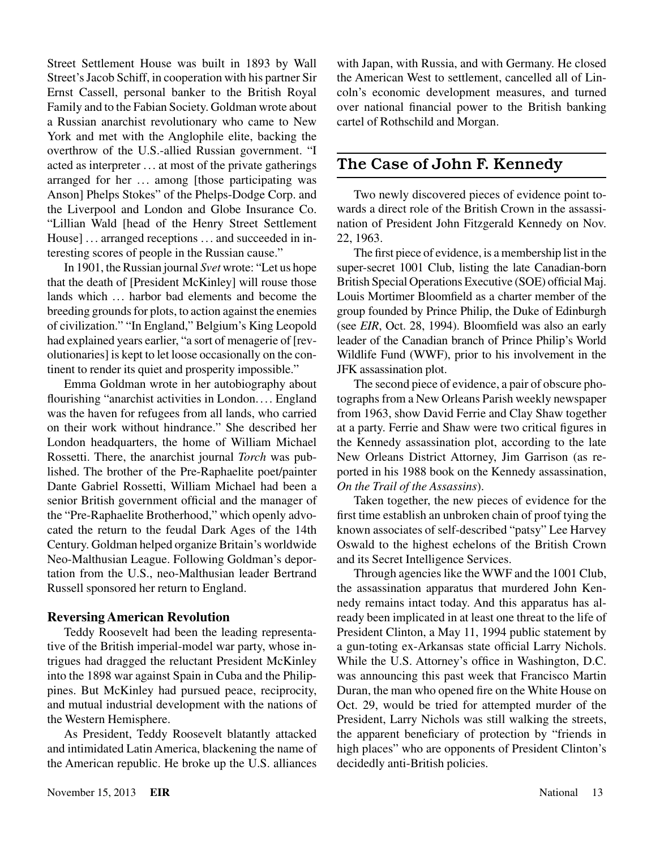Street Settlement House was built in 1893 by Wall Street's Jacob Schiff, in cooperation with his partner Sir Ernst Cassell, personal banker to the British Royal Family and to the Fabian Society. Goldman wrote about a Russian anarchist revolutionary who came to New York and met with the Anglophile elite, backing the overthrow of the U.S.-allied Russian government. "I acted as interpreter . .. at most of the private gatherings arranged for her ... among [those participating was Anson] Phelps Stokes" of the Phelps-Dodge Corp. and the Liverpool and London and Globe Insurance Co. "Lillian Wald [head of the Henry Street Settlement House] ... arranged receptions ... and succeeded in interesting scores of people in the Russian cause."

In 1901, the Russian journal *Svet* wrote: "Let us hope that the death of [President McKinley] will rouse those lands which ... harbor bad elements and become the breeding grounds for plots, to action against the enemies of civilization." "In England," Belgium's King Leopold had explained years earlier, "a sort of menagerie of [revolutionaries] is kept to let loose occasionally on the continent to render its quiet and prosperity impossible."

Emma Goldman wrote in her autobiography about flourishing "anarchist activities in London. ... England was the haven for refugees from all lands, who carried on their work without hindrance." She described her London headquarters, the home of William Michael Rossetti. There, the anarchist journal *Torch* was published. The brother of the Pre-Raphaelite poet/painter Dante Gabriel Rossetti, William Michael had been a senior British government official and the manager of the "Pre-Raphaelite Brotherhood," which openly advocated the return to the feudal Dark Ages of the 14th Century. Goldman helped organize Britain's worldwide Neo-Malthusian League. Following Goldman's deportation from the U.S., neo-Malthusian leader Bertrand Russell sponsored her return to England.

#### **Reversing American Revolution**

Teddy Roosevelt had been the leading representative of the British imperial-model war party, whose intrigues had dragged the reluctant President McKinley into the 1898 war against Spain in Cuba and the Philippines. But McKinley had pursued peace, reciprocity, and mutual industrial development with the nations of the Western Hemisphere.

As President, Teddy Roosevelt blatantly attacked and intimidated Latin America, blackening the name of the American republic. He broke up the U.S. alliances

with Japan, with Russia, and with Germany. He closed the American West to settlement, cancelled all of Lincoln's economic development measures, and turned over national financial power to the British banking cartel of Rothschild and Morgan.

## The Case of John F. Kennedy

Two newly discovered pieces of evidence point towards a direct role of the British Crown in the assassination of President John Fitzgerald Kennedy on Nov. 22, 1963.

The first piece of evidence, is a membership list in the super-secret 1001 Club, listing the late Canadian-born British Special Operations Executive (SOE) official Maj. Louis Mortimer Bloomfield as a charter member of the group founded by Prince Philip, the Duke of Edinburgh (see *EIR*, Oct. 28, 1994). Bloomfield was also an early leader of the Canadian branch of Prince Philip's World Wildlife Fund (WWF), prior to his involvement in the JFK assassination plot.

The second piece of evidence, a pair of obscure photographs from a New Orleans Parish weekly newspaper from 1963, show David Ferrie and Clay Shaw together at a party. Ferrie and Shaw were two critical figures in the Kennedy assassination plot, according to the late New Orleans District Attorney, Jim Garrison (as reported in his 1988 book on the Kennedy assassination, *On the Trail of the Assassins*).

Taken together, the new pieces of evidence for the first time establish an unbroken chain of proof tying the known associates of self-described "patsy" Lee Harvey Oswald to the highest echelons of the British Crown and its Secret Intelligence Services.

Through agencies like the WWF and the 1001 Club, the assassination apparatus that murdered John Kennedy remains intact today. And this apparatus has already been implicated in at least one threat to the life of President Clinton, a May 11, 1994 public statement by a gun-toting ex-Arkansas state official Larry Nichols. While the U.S. Attorney's office in Washington, D.C. was announcing this past week that Francisco Martin Duran, the man who opened fire on the White House on Oct. 29, would be tried for attempted murder of the President, Larry Nichols was still walking the streets, the apparent beneficiary of protection by "friends in high places" who are opponents of President Clinton's decidedly anti-British policies.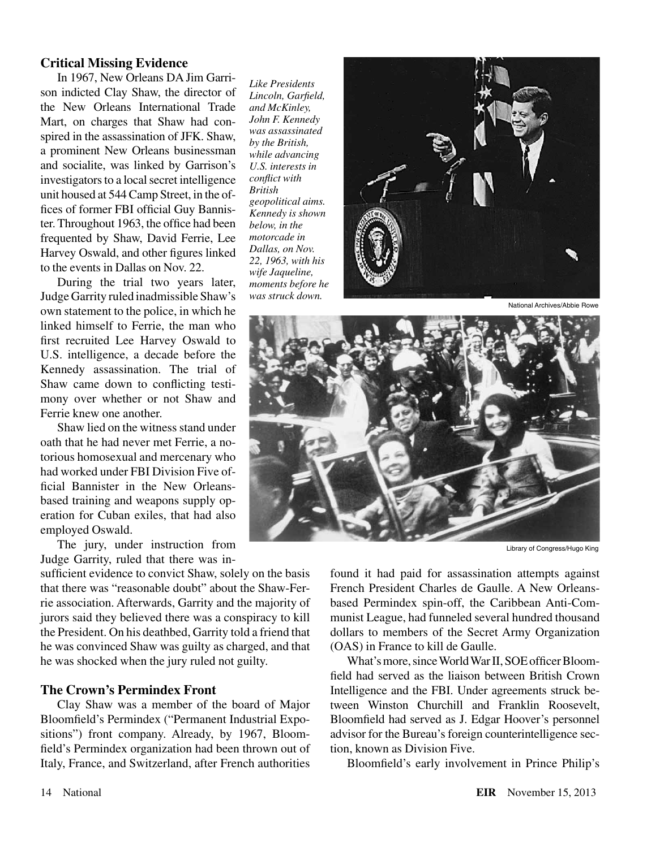#### **Critical Missing Evidence**

In 1967, New Orleans DA Jim Garrison indicted Clay Shaw, the director of the New Orleans International Trade Mart, on charges that Shaw had conspired in the assassination of JFK. Shaw, a prominent New Orleans businessman and socialite, was linked by Garrison's investigators to a local secret intelligence unit housed at 544 Camp Street, in the offices of former FBI official Guy Bannister. Throughout 1963, the office had been frequented by Shaw, David Ferrie, Lee Harvey Oswald, and other figures linked to the events in Dallas on Nov. 22.

During the trial two years later, Judge Garrity ruled inadmissible Shaw's own statement to the police, in which he linked himself to Ferrie, the man who first recruited Lee Harvey Oswald to U.S. intelligence, a decade before the Kennedy assassination. The trial of Shaw came down to conflicting testimony over whether or not Shaw and Ferrie knew one another.

Shaw lied on the witness stand under oath that he had never met Ferrie, a notorious homosexual and mercenary who had worked under FBI Division Five official Bannister in the New Orleansbased training and weapons supply operation for Cuban exiles, that had also employed Oswald.

The jury, under instruction from Judge Garrity, ruled that there was in-

sufficient evidence to convict Shaw, solely on the basis that there was "reasonable doubt" about the Shaw-Ferrie association. Afterwards, Garrity and the majority of jurors said they believed there was a conspiracy to kill the President. On his deathbed, Garrity told a friend that he was convinced Shaw was guilty as charged, and that he was shocked when the jury ruled not guilty.

#### **The Crown's Permindex Front**

Clay Shaw was a member of the board of Major Bloomfield's Permindex ("Permanent Industrial Expositions") front company. Already, by 1967, Bloomfield's Permindex organization had been thrown out of Italy, France, and Switzerland, after French authorities

*Like Presidents Lincoln, Garfield, and McKinley, John F. Kennedy was assassinated by the British, while advancing U.S. interests in conflict with British geopolitical aims. Kennedy is shown below, in the motorcade in Dallas, on Nov. 22, 1963, with his wife Jaqueline, moments before he was struck down.*



National Archives/Abbie Rowe



Library of Congress/Hugo King

found it had paid for assassination attempts against French President Charles de Gaulle. A New Orleansbased Permindex spin-off, the Caribbean Anti-Communist League, had funneled several hundred thousand dollars to members of the Secret Army Organization (OAS) in France to kill de Gaulle.

What's more, since World War II, SOE officer Bloomfield had served as the liaison between British Crown Intelligence and the FBI. Under agreements struck between Winston Churchill and Franklin Roosevelt, Bloomfield had served as J. Edgar Hoover's personnel advisor for the Bureau's foreign counterintelligence section, known as Division Five.

Bloomfield's early involvement in Prince Philip's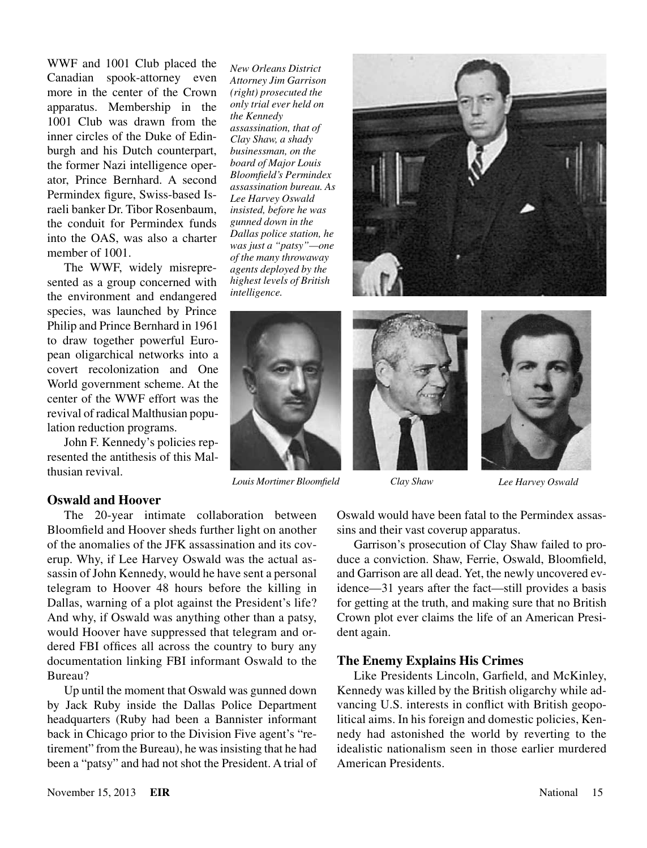WWF and 1001 Club placed the Canadian spook-attorney even more in the center of the Crown apparatus. Membership in the 1001 Club was drawn from the inner circles of the Duke of Edinburgh and his Dutch counterpart, the former Nazi intelligence operator, Prince Bernhard. A second Permindex figure, Swiss-based Israeli banker Dr. Tibor Rosenbaum, the conduit for Permindex funds into the OAS, was also a charter member of 1001.

The WWF, widely misrepresented as a group concerned with the environment and endangered species, was launched by Prince Philip and Prince Bernhard in 1961 to draw together powerful European oligarchical networks into a covert recolonization and One World government scheme. At the center of the WWF effort was the revival of radical Malthusian population reduction programs.

John F. Kennedy's policies represented the antithesis of this Malthusian revival.

*New Orleans District Attorney Jim Garrison (right) prosecuted the only trial ever held on the Kennedy assassination, that of Clay Shaw, a shady businessman, on the board of Major Louis Bloomfield's Permindex assassination bureau. As Lee Harvey Oswald insisted, before he was gunned down in the Dallas police station, he was just a "patsy"—one of the many throwaway agents deployed by the highest levels of British intelligence.*



*Louis Mortimer Bloomfield Clay Shaw Lee Harvey Oswald*







#### **Oswald and Hoover**

The 20-year intimate collaboration between Bloomfield and Hoover sheds further light on another of the anomalies of the JFK assassination and its coverup. Why, if Lee Harvey Oswald was the actual assassin of John Kennedy, would he have sent a personal telegram to Hoover 48 hours before the killing in Dallas, warning of a plot against the President's life? And why, if Oswald was anything other than a patsy, would Hoover have suppressed that telegram and ordered FBI offices all across the country to bury any documentation linking FBI informant Oswald to the Bureau?

Up until the moment that Oswald was gunned down by Jack Ruby inside the Dallas Police Department headquarters (Ruby had been a Bannister informant back in Chicago prior to the Division Five agent's "retirement" from the Bureau), he was insisting that he had been a "patsy" and had not shot the President. A trial of Oswald would have been fatal to the Permindex assassins and their vast coverup apparatus.

Garrison's prosecution of Clay Shaw failed to produce a conviction. Shaw, Ferrie, Oswald, Bloomfield, and Garrison are all dead. Yet, the newly uncovered evidence—31 years after the fact—still provides a basis for getting at the truth, and making sure that no British Crown plot ever claims the life of an American President again.

#### **The Enemy Explains His Crimes**

Like Presidents Lincoln, Garfield, and McKinley, Kennedy was killed by the British oligarchy while advancing U.S. interests in conflict with British geopolitical aims. In his foreign and domestic policies, Kennedy had astonished the world by reverting to the idealistic nationalism seen in those earlier murdered American Presidents.